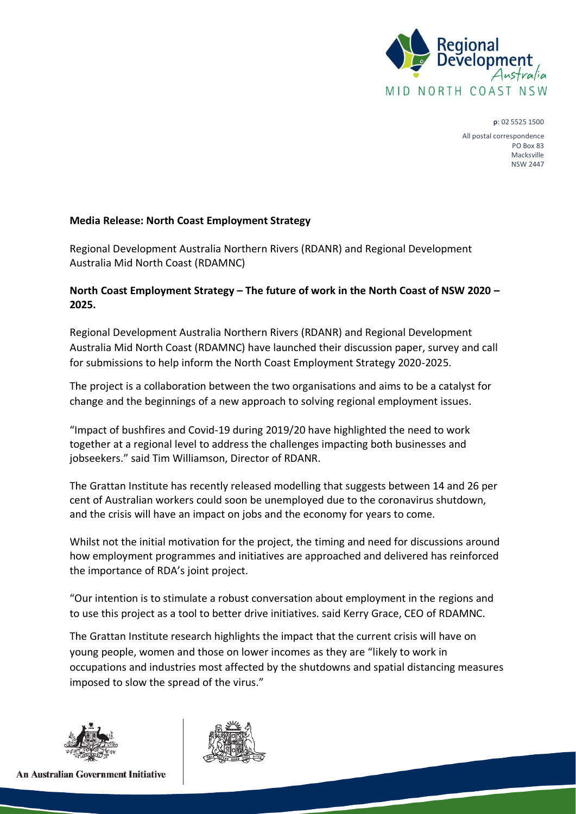

**p**: 02 5525 1500

All postal correspondence PO Box 83 Macksville NSW 2447

## **Media Release: North Coast Employment Strategy**

Regional Development Australia Northern Rivers (RDANR) and Regional Development Australia Mid North Coast (RDAMNC)

## **North Coast Employment Strategy – The future of work in the North Coast of NSW 2020 – 2025.**

Regional Development Australia Northern Rivers (RDANR) and Regional Development Australia Mid North Coast (RDAMNC) have launched their discussion paper, survey and call for submissions to help inform the North Coast Employment Strategy 2020-2025.

The project is a collaboration between the two organisations and aims to be a catalyst for change and the beginnings of a new approach to solving regional employment issues.

"Impact of bushfires and Covid-19 during 2019/20 have highlighted the need to work together at a regional level to address the challenges impacting both businesses and jobseekers." said Tim Williamson, Director of RDANR.

The Grattan Institute has recently released modelling that suggests between 14 and 26 per cent of Australian workers could soon be unemployed due to the coronavirus shutdown, and the crisis will have an impact on jobs and the economy for years to come.

Whilst not the initial motivation for the project, the timing and need for discussions around how employment programmes and initiatives are approached and delivered has reinforced the importance of RDA's joint project.

"Our intention is to stimulate a robust conversation about employment in the regions and to use this project as a tool to better drive initiatives. said Kerry Grace, CEO of RDAMNC.

The Grattan Institute research highlights the impact that the current crisis will have on young people, women and those on lower incomes as they are "likely to work in occupations and industries most affected by the shutdowns and spatial distancing measures imposed to slow the spread of the virus."



**An Australian Government Initiative**